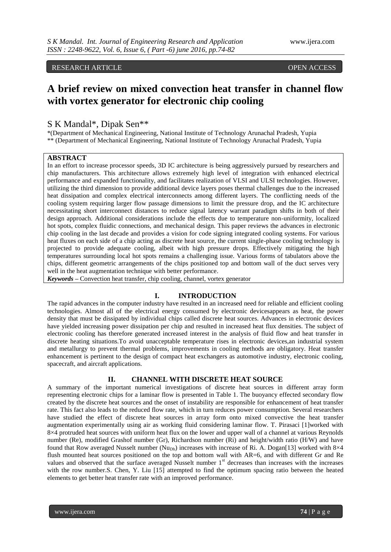RESEARCH ARTICLE OPEN ACCESS

# **A brief review on mixed convection heat transfer in channel flow with vortex generator for electronic chip cooling**

## S K Mandal\*, Dipak Sen\*\*

\*(Department of Mechanical Engineering, National Institute of Technology Arunachal Pradesh, Yupia \*\* (Department of Mechanical Engineering, National Institute of Technology Arunachal Pradesh, Yupia

#### **ABSTRACT**

In an effort to increase processor speeds, 3D IC architecture is being aggressively pursued by researchers and chip manufacturers. This architecture allows extremely high level of integration with enhanced electrical performance and expanded functionality, and facilitates realization of VLSI and ULSI technologies. However, utilizing the third dimension to provide additional device layers poses thermal challenges due to the increased heat dissipation and complex electrical interconnects among different layers. The conflicting needs of the cooling system requiring larger flow passage dimensions to limit the pressure drop, and the IC architecture necessitating short interconnect distances to reduce signal latency warrant paradigm shifts in both of their design approach. Additional considerations include the effects due to temperature non-uniformity, localized hot spots, complex fluidic connections, and mechanical design. This paper reviews the advances in electronic chip cooling in the last decade and provides a vision for code signing integrated cooling systems. For various heat fluxes on each side of a chip acting as discrete heat source, the current single-phase cooling technology is projected to provide adequate cooling, albeit with high pressure drops. Effectively mitigating the high temperatures surrounding local hot spots remains a challenging issue. Various forms of tabulators above the chips, different geometric arrangements of the chips positioned top and bottom wall of the duct serves very well in the heat augmentation technique with better performance.

*Keywords –* Convection heat transfer, chip cooling, channel, vortex generator

#### **I. INTRODUCTION**

The rapid advances in the computer industry have resulted in an increased need for reliable and efficient cooling technologies. Almost all of the electrical energy consumed by electronic devicesappears as heat, the power density that must be dissipated by individual chips called discrete heat sources. Advances in electronic devices have yielded increasing power dissipation per chip and resulted in increased heat flux densities. The subject of electronic cooling has therefore generated increased interest in the analysis of fluid flow and heat transfer in discrete heating situations.To avoid unacceptable temperature rises in electronic devices,an industrial system and metallurgy to prevent thermal problems, improvements in cooling methods are obligatory. Heat transfer enhancement is pertinent to the design of compact heat exchangers as automotive industry, electronic cooling, spacecraft, and aircraft applications.

#### **II. CHANNEL WITH DISCRETE HEAT SOURCE**

A summary of the important numerical investigations of discrete heat sources in different array form representing electronic chips for a laminar flow is presented in Table 1. The buoyancy effected secondary flow created by the discrete heat sources and the onset of instability are responsible for enhancement of heat transfer rate. This fact also leads to the reduced flow rate, which in turn reduces power consumption. Several researchers have studied the effect of discrete heat sources in array form onto mixed convective the heat transfer augmentation experimentally using air as working fluid considering laminar flow. T. Pirasaci [1]worked with 8×4 protruded heat sources with uniform heat flux on the lower and upper wall of a channel at various Reynolds number (Re), modified Grashof number (Gr), Richardson number (Ri) and height/width ratio (H/W) and have found that Row averaged Nusselt number (Nu<sub>Dh</sub>) increases with increase of Ri. A. Dogan[13] worked with 8×4 flush mounted heat sources positioned on the top and bottom wall with AR=6, and with different Gr and Re values and observed that the surface averaged Nusselt number  $1<sup>st</sup>$  decreases than increases with the increases with the row number.S. Chen, Y. Liu [15] attempted to find the optimum spacing ratio between the heated elements to get better heat transfer rate with an improved performance.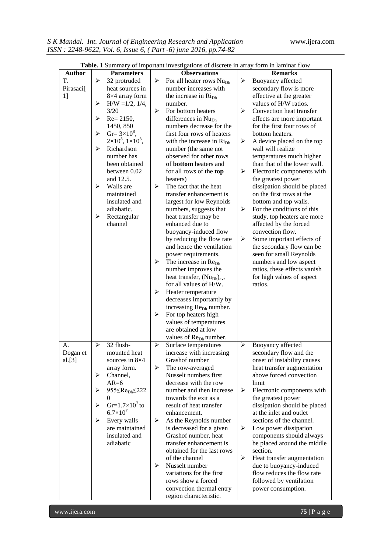|                       |                       |                                        |                       | <b>Table.</b> I Summary of important investigations of discrete in array form in laminar flow |   |                              |
|-----------------------|-----------------------|----------------------------------------|-----------------------|-----------------------------------------------------------------------------------------------|---|------------------------------|
| <b>Author</b>         |                       | <b>Parameters</b>                      |                       | <b>Observations</b>                                                                           |   | <b>Remarks</b>               |
| T.                    | ➤                     | 32 protruded                           | ➤                     | For all heater rows Nu <sub>Dh</sub>                                                          | ➤ | Buoyancy affected            |
| Pirasaci <sup>[</sup> |                       | heat sources in                        |                       | number increases with                                                                         |   | secondary flow is more       |
| 1]                    |                       | 8×4 array form                         |                       | the increase in Ri <sub>Dh</sub>                                                              |   | effective at the greater     |
|                       | ➤                     | $H/W = 1/2, 1/4,$                      |                       | number.                                                                                       |   | values of H/W ratios.        |
|                       |                       | 3/20                                   | ≻                     | For bottom heaters                                                                            | ➤ | Convection heat transfer     |
|                       | ➤                     | $Re = 2150,$                           |                       | differences in Nu <sub>Dh</sub>                                                               |   | effects are more important   |
|                       |                       | 1450, 850                              |                       | numbers decrease for the                                                                      |   | for the first four rows of   |
|                       | $\blacktriangleright$ | $Gr = 3 \times 10^8$ ,                 |                       | first four rows of heaters                                                                    |   | bottom heaters.              |
|                       |                       | $2\times10^8$ , $1\times10^8$ ,        |                       | with the increase in Ri <sub>Dh</sub>                                                         | ➤ | A device placed on the top   |
|                       | ⋗                     | Richardson                             |                       | number (the same not                                                                          |   | wall will realize            |
|                       |                       | number has                             |                       | observed for other rows                                                                       |   | temperatures much higher     |
|                       |                       | been obtained                          |                       | of <b>bottom</b> heaters and                                                                  |   | than that of the lower wall. |
|                       |                       | between 0.02                           |                       | for all rows of the top                                                                       | ➤ | Electronic components with   |
|                       |                       | and 12.5.                              |                       | heaters)                                                                                      |   | the greatest power           |
|                       | ⋗                     | Walls are                              | ≻                     | The fact that the heat                                                                        |   | dissipation should be placed |
|                       |                       | maintained                             |                       | transfer enhancement is                                                                       |   | on the first rows at the     |
|                       |                       | insulated and                          |                       | largest for low Reynolds                                                                      |   | bottom and top walls.        |
|                       |                       | adiabatic.                             |                       | numbers, suggests that                                                                        | ➤ | For the conditions of this   |
|                       | ➤                     | Rectangular                            |                       | heat transfer may be                                                                          |   | study, top heaters are more  |
|                       |                       | channel                                |                       | enhanced due to                                                                               |   | affected by the forced       |
|                       |                       |                                        |                       | buoyancy-induced flow                                                                         |   | convection flow.             |
|                       |                       |                                        |                       | by reducing the flow rate                                                                     | ➤ | Some important effects of    |
|                       |                       |                                        |                       | and hence the ventilation                                                                     |   | the secondary flow can be    |
|                       |                       |                                        |                       | power requirements.                                                                           |   | seen for small Reynolds      |
|                       |                       |                                        | ➤                     | The increase in Re <sub>Dh</sub>                                                              |   | numbers and low aspect       |
|                       |                       |                                        |                       | number improves the                                                                           |   | ratios, these effects vanish |
|                       |                       |                                        |                       | heat transfer, (Nu <sub>Dh</sub> ) <sub>avr</sub>                                             |   | for high values of aspect    |
|                       |                       |                                        |                       | for all values of H/W.                                                                        |   | ratios.                      |
|                       |                       |                                        | ➤                     | Heater temperature                                                                            |   |                              |
|                       |                       |                                        |                       | decreases importantly by                                                                      |   |                              |
|                       |                       |                                        |                       | increasing Re <sub>Dh</sub> number.                                                           |   |                              |
|                       |                       |                                        | ➤                     | For top heaters high                                                                          |   |                              |
|                       |                       |                                        |                       | values of temperatures                                                                        |   |                              |
|                       |                       |                                        |                       | are obtained at low                                                                           |   |                              |
|                       |                       |                                        |                       | values of Re <sub>Dh</sub> number.                                                            |   |                              |
| А.                    | ≻                     | 32 flush-                              | ➤                     | Surface temperatures                                                                          | ➤ | Buoyancy affected            |
| Dogan et              |                       | mounted heat                           |                       | increase with increasing                                                                      |   | secondary flow and the       |
| al.[3]                |                       | sources in $8\times4$                  |                       | Grashof number                                                                                |   | onset of instability causes  |
|                       |                       | array form.                            | ➤                     | The row-averaged                                                                              |   | heat transfer augmentation   |
|                       | ≻                     | Channel,                               |                       | Nusselt numbers first                                                                         |   | above forced convection      |
|                       |                       | $AR=6$                                 |                       | decrease with the row                                                                         |   | limit                        |
|                       | ➤                     | 955 $\leq$ Re <sub>Dh</sub> $\leq$ 222 |                       | number and then increase                                                                      | ➤ | Electronic components with   |
|                       |                       | 0                                      |                       | towards the exit as a                                                                         |   | the greatest power           |
|                       | $\blacktriangleright$ | Gr= $1.7\times10^7$ to                 |                       | result of heat transfer                                                                       |   | dissipation should be placed |
|                       |                       | $6.7\times10^{7}$                      |                       | enhancement.                                                                                  |   | at the inlet and outlet      |
|                       | $\blacktriangleright$ | Every walls                            | $\blacktriangleright$ | As the Reynolds number                                                                        |   | sections of the channel.     |
|                       |                       | are maintained                         |                       | is decreased for a given                                                                      | ➤ | Low power dissipation        |
|                       |                       | insulated and                          |                       | Grashof number, heat                                                                          |   | components should always     |
|                       |                       | adiabatic                              |                       | transfer enhancement is                                                                       |   | be placed around the middle  |
|                       |                       |                                        |                       | obtained for the last rows                                                                    |   | section.                     |
|                       |                       |                                        |                       | of the channel                                                                                | ➤ | Heat transfer augmentation   |
|                       |                       |                                        | ➤                     | Nusselt number                                                                                |   | due to buoyancy-induced      |
|                       |                       |                                        |                       | variations for the first                                                                      |   | flow reduces the flow rate   |
|                       |                       |                                        |                       | rows show a forced                                                                            |   | followed by ventilation      |
|                       |                       |                                        |                       | convection thermal entry                                                                      |   | power consumption.           |
|                       |                       |                                        |                       | region characteristic.                                                                        |   |                              |

**Table. 1** Summary of important investigations of discrete in array form in laminar flow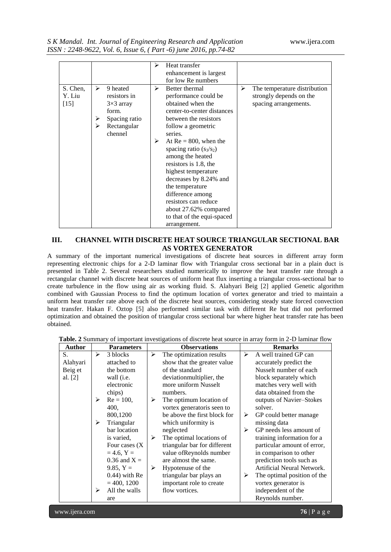|  | S K Mandal. Int. Journal of Engineering Research and Application |  |
|--|------------------------------------------------------------------|--|
|  | ISSN: 2248-9622, Vol. 6, Issue 6, (Part -6) june 2016, pp.74-82  |  |

|                              |             |                                                                                                  | ⋗      | Heat transfer                                                                                                                                                                                                                                                                                                                                                                                                                    |   |                                                                                  |
|------------------------------|-------------|--------------------------------------------------------------------------------------------------|--------|----------------------------------------------------------------------------------------------------------------------------------------------------------------------------------------------------------------------------------------------------------------------------------------------------------------------------------------------------------------------------------------------------------------------------------|---|----------------------------------------------------------------------------------|
|                              |             |                                                                                                  |        | enhancement is largest                                                                                                                                                                                                                                                                                                                                                                                                           |   |                                                                                  |
|                              |             |                                                                                                  |        | for low Re numbers                                                                                                                                                                                                                                                                                                                                                                                                               |   |                                                                                  |
| S. Chen.<br>Y. Liu<br>$[15]$ | ➤<br>⋗<br>⋗ | 9 heated<br>resistors in<br>$3\times3$ array<br>form.<br>Spacing ratio<br>Rectangular<br>chennel | ➤<br>➤ | Better thermal<br>performance could be<br>obtained when the<br>center-to-center distances<br>between the resistors<br>follow a geometric<br>series.<br>At $Re = 800$ , when the<br>spacing ratio $(s_3/s_2)$<br>among the heated<br>resistors is 1.8, the<br>highest temperature<br>decreases by 8.24% and<br>the temperature<br>difference among<br>resistors can reduce<br>about 27.62% compared<br>to that of the equi-spaced | ➤ | The temperature distribution<br>strongly depends on the<br>spacing arrangements. |
|                              |             |                                                                                                  |        | arrangement.                                                                                                                                                                                                                                                                                                                                                                                                                     |   |                                                                                  |

## **III. CHANNEL WITH DISCRETE HEAT SOURCE TRIANGULAR SECTIONAL BAR AS VORTEX GENERATOR**

A summary of the important numerical investigations of discrete heat sources in different array form representing electronic chips for a 2-D laminar flow with Triangular cross sectional bar in a plain duct is presented in Table 2. Several researchers studied numerically to improve the heat transfer rate through a rectangular channel with discrete heat sources of uniform heat flux inserting a triangular cross-sectional bar to create turbulence in the flow using air as working fluid. S. Alahyari Beig [2] applied Genetic algorithm combined with Gaussian Process to find the optimum location of vortex generator and tried to maintain a uniform heat transfer rate above each of the discrete heat sources, considering steady state forced convection heat transfer. Hakan F. Oztop [5] also performed similar task with different Re but did not performed optimization and obtained the position of triangular cross sectional bar where higher heat transfer rate has been obtained.

| <b>Author</b> |   | <b>Parameters</b>  |   | <b>Observations</b>          |   | <b>Remarks</b>              |
|---------------|---|--------------------|---|------------------------------|---|-----------------------------|
| S.            | ➤ | 3 blocks           | ≻ | The optimization results     | ⋗ | A well trained GP can       |
| Alahyari      |   | attached to        |   | show that the greater value  |   | accurately predict the      |
| Beig et       |   | the bottom         |   | of the standard              |   | Nusselt number of each      |
| al. $[2]$     |   | wall ( <i>i.e.</i> |   | deviation multiplier, the    |   | block separately which      |
|               |   | electronic         |   | more uniform Nusselt         |   | matches very well with      |
|               |   | chips)             |   | numbers.                     |   | data obtained from the      |
|               | ⋗ | $Re = 100$ ,       | ⋗ | The optimum location of      |   | outputs of Navier-Stokes    |
|               |   | 400,               |   | vortex generatoris seen to   |   | solver.                     |
|               |   | 800,1200           |   | be above the first block for | ➤ | GP could better manage      |
|               | ➤ | Triangular         |   | which uniformity is          |   | missing data                |
|               |   | bar location       |   | neglected                    | ➤ | GP needs less amount of     |
|               |   | is varied,         | ➤ | The optimal locations of     |   | training information for a  |
|               |   | Four cases $(X)$   |   | triangular bar for different |   | particular amount of error, |
|               |   | $= 4.6, Y =$       |   | value of Reynolds number     |   | in comparison to other      |
|               |   | $0.36$ and X =     |   | are almost the same.         |   | prediction tools such as    |
|               |   | 9.85, $Y =$        | ≻ | Hypotenuse of the            |   | Artificial Neural Network.  |
|               |   | $(0.44)$ with Re   |   | triangular bar plays an      | ➤ | The optimal position of the |
|               |   | $= 400, 1200$      |   | important role to create     |   | vortex generator is         |
|               | ➤ | All the walls      |   | flow vortices.               |   | independent of the          |
|               |   | are                |   |                              |   | Reynolds number.            |

**Table. 2** Summary of important investigations of discrete heat source in array form in 2-D laminar flow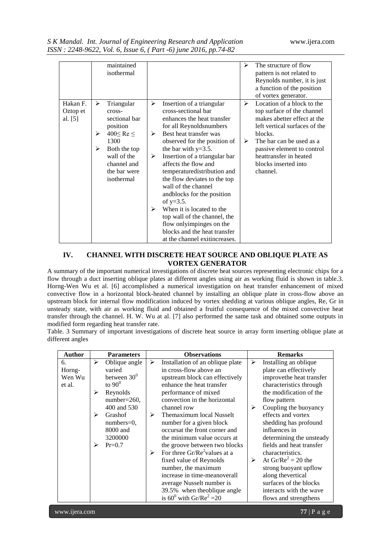|           |   | maintained         |   |                               | ⋗ | The structure of flow         |
|-----------|---|--------------------|---|-------------------------------|---|-------------------------------|
|           |   | isothermal         |   |                               |   | pattern is not related to     |
|           |   |                    |   |                               |   | Reynolds number, it is just   |
|           |   |                    |   |                               |   | a function of the position    |
|           |   |                    |   |                               |   | of vortex generator.          |
| Hakan F.  | ➤ | Triangular         | ≻ | Insertion of a triangular     | ⋗ | Location of a block to the    |
| Oztop et  |   | cross-             |   | cross-sectional bar           |   | top surface of the channel    |
| al. $[5]$ |   | sectional bar      |   | enhances the heat transfer    |   | makes abetter effect at the   |
|           |   |                    |   |                               |   | left vertical surfaces of the |
|           |   | position           |   | for all Reynoldsnumbers       |   |                               |
|           | ➤ | $400 \leq Re \leq$ | ➤ | Best heat transfer was        |   | blocks.                       |
|           |   | 1300               |   | observed for the position of  | ➤ | The bar can be used as a      |
|           | ➤ | Both the top       |   | the bar with $y=3.5$ .        |   | passive element to control    |
|           |   | wall of the        | ➤ | Insertion of a triangular bar |   | heattransfer in heated        |
|           |   | channel and        |   | affects the flow and          |   | blocks inserted into          |
|           |   | the bar were       |   | temperaturedistribution and   |   | channel.                      |
|           |   | isothermal         |   | the flow deviates to the top  |   |                               |
|           |   |                    |   | wall of the channel           |   |                               |
|           |   |                    |   | and blocks for the position   |   |                               |
|           |   |                    |   | of $y=3.5$ .                  |   |                               |
|           |   |                    | ➤ | When it is located to the     |   |                               |
|           |   |                    |   | top wall of the channel, the  |   |                               |
|           |   |                    |   |                               |   |                               |
|           |   |                    |   | flow onlyimpinges on the      |   |                               |
|           |   |                    |   | blocks and the heat transfer  |   |                               |
|           |   |                    |   | at the channel exitincreases. |   |                               |

#### **IV. CHANNEL WITH DISCRETE HEAT SOURCE AND OBLIQUE PLATE AS VORTEX GENERATOR**

A summary of the important numerical investigations of discrete heat sources representing electronic chips for a flow through a duct inserting oblique plates at different angles using air as working fluid is shown in table.3. Horng-Wen Wu et al. [6] accomplished a numerical investigation on heat transfer enhancement of mixed convective flow in a horizontal block-heated channel by installing an oblique plate in cross-flow above an upstream block for internal flow modification induced by vortex shedding at various oblique angles, Re, Gr in unsteady state, with air as working fluid and obtained a fruitful consequence of the mixed convective heat transfer through the channel. H. W. Wu at al. [7] also performed the same task and obtained some outputs in modified form regarding heat transfer rate.

Table. 3 Summary of important investigations of discrete heat source in array form inserting oblique plate at different angles

| <b>Author</b> |   | <b>Parameters</b> |   | <b>Observations</b>                      |   | <b>Remarks</b>           |
|---------------|---|-------------------|---|------------------------------------------|---|--------------------------|
| 6.            | ⋗ | Oblique angle     | ➤ | Installation of an oblique plate         | ➤ | Installing an oblique    |
| Horng-        |   | varied            |   | in cross-flow above an                   |   | plate can effectively    |
| Wen Wu        |   | between $30^0$    |   | upstream block can effectively           |   | improvethe heat transfer |
| et al.        |   | to $90^\circ$     |   | enhance the heat transfer                |   | characteristics through  |
|               | ⋗ | Reynolds          |   | performance of mixed                     |   | the modification of the  |
|               |   | $number=260$ ,    |   | convection in the horizontal             |   | flow pattern             |
|               |   | 400 and 530       |   | channel row                              | ⋗ | Coupling the buoyancy    |
|               | ⋗ | Grashof           | ➤ | Themaximum local Nusselt                 |   | effects and vortex       |
|               |   | $numbers = 0,$    |   | number for a given block                 |   | shedding has profound    |
|               |   | 8000 and          |   | occursat the front corner and            |   | influences in            |
|               |   | 3200000           |   | the minimum value occurs at              |   | determining the unsteady |
|               | ⋗ | $Pr=0.7$          |   | the groove between two blocks            |   | fields and heat transfer |
|               |   |                   | ➤ | For three Gr/Re <sup>2</sup> values at a |   | characteristics.         |
|               |   |                   |   | fixed value of Reynolds                  | ➤ | At $Gr/Re^2 = 20$ the    |
|               |   |                   |   | number, the maximum                      |   | strong buoyant upflow    |
|               |   |                   |   | increase in time-meanoverall             |   | along thevertical        |
|               |   |                   |   | average Nusselt number is                |   | surfaces of the blocks   |
|               |   |                   |   | 39.5% when the oblique angle             |   | interacts with the wave  |
|               |   |                   |   | is $60^0$ with Gr/Re <sup>2</sup> = 20   |   | flows and strengthens    |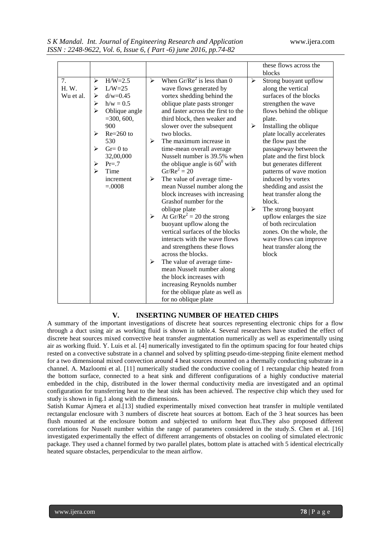|           |   |               |                       |                                        |   | these flows across the    |
|-----------|---|---------------|-----------------------|----------------------------------------|---|---------------------------|
|           |   |               |                       |                                        |   | blocks                    |
| 7.        | ➤ | $H/W=2.5$     | $\blacktriangleright$ | When $Gr/Re^2$ is less than 0          | ➤ | Strong buoyant upflow     |
| H. W.     | ⋗ | $L/W=25$      |                       | wave flows generated by                |   | along the vertical        |
| Wu et al. | ➤ | $d/w = 0.45$  |                       | vortex shedding behind the             |   | surfaces of the blocks    |
|           | ➤ | $h/w = 0.5$   |                       | oblique plate pasts stronger           |   | strengthen the wave       |
|           | ➤ | Oblique angle |                       | and faster across the first to the     |   | flows behind the oblique  |
|           |   | $=300, 600,$  |                       | third block, then weaker and           |   | plate.                    |
|           |   | 900           |                       | slower over the subsequent             | ➤ | Installing the oblique    |
|           | ⋗ | $Re=260$ to   |                       | two blocks.                            |   | plate locally accelerates |
|           |   | 530           | ➤                     | The maximum increase in                |   | the flow past the         |
|           | ⋗ | $Gr = 0$ to   |                       | time-mean overall average              |   | passageway between the    |
|           |   | 32,00,000     |                       | Nusselt number is 39.5% when           |   | plate and the first block |
|           | ⋗ | $Pr = .7$     |                       | the oblique angle is $60^{\circ}$ with |   | but generates different   |
|           | ⋗ | Time          |                       | $Gr/Re^2 = 20$                         |   | patterns of wave motion   |
|           |   | increment     | ➤                     | The value of average time-             |   | induced by vortex         |
|           |   | $=.0008$      |                       | mean Nussel number along the           |   | shedding and assist the   |
|           |   |               |                       | block increases with increasing        |   | heat transfer along the   |
|           |   |               |                       | Grashof number for the                 |   | block.                    |
|           |   |               |                       | oblique plate                          | ➤ | The strong buoyant        |
|           |   |               | $\blacktriangleright$ | At $Gr/Re^2 = 20$ the strong           |   | upflow enlarges the size  |
|           |   |               |                       | buoyant upflow along the               |   | of both recirculation     |
|           |   |               |                       | vertical surfaces of the blocks        |   | zones. On the whole, the  |
|           |   |               |                       | interacts with the wave flows          |   | wave flows can improve    |
|           |   |               |                       | and strengthens these flows            |   | heat transfer along the   |
|           |   |               |                       | across the blocks.                     |   | block                     |
|           |   |               | ➤                     | The value of average time-             |   |                           |
|           |   |               |                       | mean Nusselt number along              |   |                           |
|           |   |               |                       | the block increases with               |   |                           |
|           |   |               |                       | increasing Reynolds number             |   |                           |
|           |   |               |                       | for the oblique plate as well as       |   |                           |
|           |   |               |                       | for no oblique plate                   |   |                           |

### **V. INSERTING NUMBER OF HEATED CHIPS**

A summary of the important investigations of discrete heat sources representing electronic chips for a flow through a duct using air as working fluid is shown in table.4. Several researchers have studied the effect of discrete heat sources mixed convective heat transfer augmentation numerically as well as experimentally using air as working fluid. Y. Luis et al. [4] numerically investigated to fin the optimum spacing for four heated chips rested on a convective substrate in a channel and solved by splitting pseudo-time-stepping finite element method for a two dimensional mixed convection around 4 heat sources mounted on a thermally conducting substrate in a channel. A. Mazloomi et al. [11] numerically studied the conductive cooling of 1 rectangular chip heated from the bottom surface, connected to a heat sink and different configurations of a highly conductive material embedded in the chip, distributed in the lower thermal conductivity media are investigated and an optimal configuration for transferring heat to the heat sink has been achieved. The respective chip which they used for study is shown in fig.1 along with the dimensions.

Satish Kumar Ajmera et al.[13] studied experimentally mixed convection heat transfer in multiple ventilated rectangular enclosure with 3 numbers of discrete heat sources at bottom. Each of the 3 heat sources has been flush mounted at the enclosure bottom and subjected to uniform heat flux.They also proposed different correlations for Nusselt number within the range of parameters considered in the study.S. Chen et al. [16] investigated experimentally the effect of different arrangements of obstacles on cooling of simulated electronic package. They used a channel formed by two parallel plates, bottom plate is attached with 5 identical electrically heated square obstacles, perpendicular to the mean airflow.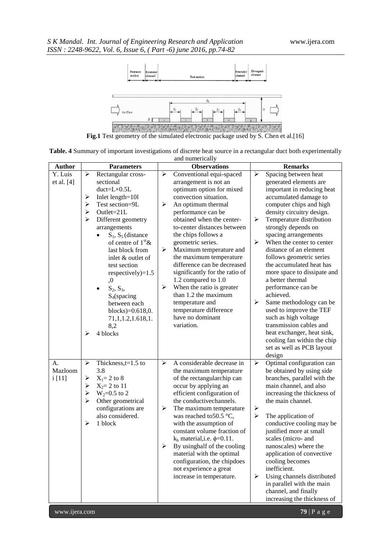

**Fig.1** Test geometry of the simulated electronic package used by S. Chen et al.[16]

| Table. 4 Summary of important investigations of discrete heat source in a rectangular duct both experimentally |  |
|----------------------------------------------------------------------------------------------------------------|--|
| and numerically                                                                                                |  |

| <b>Author</b> |                       | <b>Parameters</b>              |                       | <b>Observations</b>                                   |                                                | <b>Remarks</b>                                       |
|---------------|-----------------------|--------------------------------|-----------------------|-------------------------------------------------------|------------------------------------------------|------------------------------------------------------|
| Y. Luis       | ➤                     | Rectangular cross-             | ➤                     | Conventional equi-spaced                              | $\blacktriangleright$                          | Spacing between heat                                 |
| et al. [4]    |                       | sectional                      |                       | arrangement is not an                                 |                                                | generated elements are                               |
|               |                       | $duct=L\times0.5L$             |                       | optimum option for mixed                              |                                                | important in reducing heat                           |
|               | ➤                     | Inlet length=101               |                       | convection situation.                                 |                                                | accumulated damage to                                |
|               | ➤                     | Test section=9L                | ➤                     | An optimum thermal                                    |                                                | computer chips and high                              |
|               | ➤                     | Outlet= $21L$                  |                       | performance can be                                    |                                                | density circuitry design.                            |
|               | ➤                     | Different geometry             |                       | obtained when the center-                             | ➤                                              | Temperature distribution                             |
|               |                       | arrangements                   |                       | to-center distances between                           |                                                | strongly depends on                                  |
|               |                       | $S_1$ , $S_5$ (distance        |                       | the chips follows a                                   |                                                | spacing arrangements                                 |
|               |                       | of centre of $1st$ &           |                       | geometric series.                                     | $\blacktriangleright$                          | When the center to center                            |
|               |                       | last block from                | ➤                     | Maximum temperature and                               |                                                | distance of an element                               |
|               |                       | inlet & outlet of              |                       | the maximum temperature                               |                                                | follows geometric series                             |
|               |                       | test section                   |                       | difference can be decreased                           |                                                | the accumulated heat has                             |
|               |                       | respectively $)=1.5$           |                       | significantly for the ratio of                        |                                                | more space to dissipate and                          |
|               |                       | ,0                             | $\blacktriangleright$ | 1.2 compared to 1.0<br>When the ratio is greater      |                                                | a better thermal<br>performance can be               |
|               |                       | $S_2, S_3,$                    |                       | than 1.2 the maximum                                  |                                                | achieved.                                            |
|               |                       | $S_4$ (spacing<br>between each |                       | temperature and                                       | ➤                                              | Same methodology can be                              |
|               |                       | blocks $)=0.618,0.$            |                       | temperature difference                                |                                                | used to improve the TEF                              |
|               |                       | 71, 1, 1. 2, 1. 618, 1.        |                       | have no dominant                                      |                                                | such as high voltage                                 |
|               |                       | 8,2                            |                       | variation.                                            |                                                | transmission cables and                              |
|               | ⋗                     | 4 blocks                       |                       |                                                       |                                                | heat exchanger, heat sink,                           |
|               |                       |                                |                       |                                                       |                                                | cooling fan within the chip                          |
|               |                       |                                |                       |                                                       |                                                | set as well as PCB layout                            |
|               |                       |                                |                       |                                                       |                                                | design                                               |
| А.            | ≻                     | Thickness, $t=1.5$ to          | ≻                     | A considerable decrease in                            | $\blacktriangleright$                          | Optimal configuration can                            |
| Mazloom       |                       | 3.8                            |                       | the maximum temperature                               |                                                | be obtained by using side                            |
| i [11]        | ➤                     | $X_1 = 2$ to 8                 |                       | of the rectangularchip can                            |                                                | branches, parallel with the                          |
|               | ➤                     | $X_2 = 2$ to 11                |                       | occur by applying an                                  |                                                | main channel, and also                               |
|               | $\blacktriangleright$ | $W_2 = 0.5$ to 2               |                       | efficient configuration of                            |                                                | increasing the thickness of                          |
|               | $\blacktriangleright$ | Other geometrical              |                       | the conductive channels.                              |                                                | the main channel.                                    |
|               |                       | configurations are             | ➤                     | The maximum temperature                               | $\blacktriangleright$<br>$\blacktriangleright$ |                                                      |
|               | ≻                     | also considered.<br>1 block    |                       | was reached to $50.5$ °C,                             |                                                | The application of                                   |
|               |                       |                                |                       | with the assumption of<br>constant volume fraction of |                                                | conductive cooling may be<br>justified more at small |
|               |                       |                                |                       | $k_h$ material, i.e. $\phi$ =0.11.                    |                                                | scales (micro- and                                   |
|               |                       |                                | ➤                     | By using half of the cooling                          |                                                | nanoscales) where the                                |
|               |                       |                                |                       | material with the optimal                             |                                                | application of convective                            |
|               |                       |                                |                       | configuration, the chipdoes                           |                                                | cooling becomes                                      |
|               |                       |                                |                       | not experience a great                                |                                                | inefficient.                                         |
|               |                       |                                |                       | increase in temperature.                              | ➤                                              | Using channels distributed                           |
|               |                       |                                |                       |                                                       |                                                | in parallel with the main                            |
|               |                       |                                |                       |                                                       |                                                | channel, and finally                                 |
|               |                       |                                |                       |                                                       |                                                | increasing the thickness of                          |
| www.ijera.com |                       |                                |                       |                                                       |                                                | 79   P a g e                                         |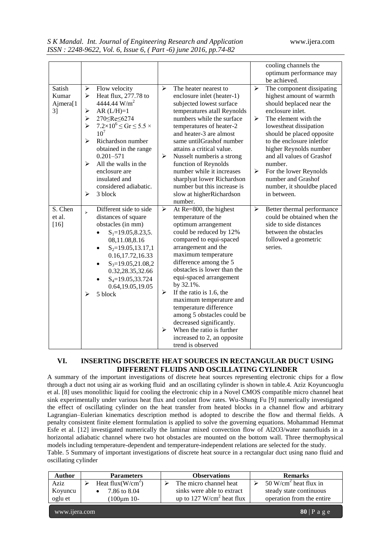|                                               |                                      |                                                                                                                                                                                                                                                                                                                                                                          |                                                                         |                                                                                                                                                                                                                                                                                                                                                                                                                                                                                                      |                                 | cooling channels the<br>optimum performance may<br>be achieved.                                                                                                                                                                                                                                                                                                                  |
|-----------------------------------------------|--------------------------------------|--------------------------------------------------------------------------------------------------------------------------------------------------------------------------------------------------------------------------------------------------------------------------------------------------------------------------------------------------------------------------|-------------------------------------------------------------------------|------------------------------------------------------------------------------------------------------------------------------------------------------------------------------------------------------------------------------------------------------------------------------------------------------------------------------------------------------------------------------------------------------------------------------------------------------------------------------------------------------|---------------------------------|----------------------------------------------------------------------------------------------------------------------------------------------------------------------------------------------------------------------------------------------------------------------------------------------------------------------------------------------------------------------------------|
| Satish<br>Kumar<br>Ajmera[1<br>3 <sup>1</sup> | ➤<br>⋗<br>➤<br>≻<br>➤<br>↘<br>↘<br>➤ | Flow velocity<br>Heat flux, 277.78 to<br>4444.44 W/m <sup>2</sup><br>$AR (L/H)=1$<br>270 <re <6274<br=""><math>7.2 \times 10^6 \le Gr \le 5.5 \times</math><br/><math>10^{7}</math><br/>Richardson number<br/>obtained in the range<br/><math>0.201 - 571</math><br/>All the walls in the<br/>enclosure are<br/>insulated and<br/>considered adiabatic.<br/>3 block</re> | $\blacktriangleright$<br>➤                                              | The heater nearest to<br>enclosure inlet (heater-1)<br>subjected lowest surface<br>temperatures atall Reynolds<br>numbers while the surface<br>temperatures of heater-2<br>and heater-3 are almost<br>same untilGrashof number<br>attains a critical value.<br>Nusselt number is a strong<br>function of Reynolds<br>number while it increases<br>sharplyat lower Richardson<br>number but this increase is<br>slow at higherRichardson<br>number.                                                   | $\blacktriangleright$<br>≻<br>➤ | The component dissipating<br>highest amount of warmth<br>should beplaced near the<br>enclosure inlet.<br>The element with the<br>lowestheat dissipation<br>should be placed opposite<br>to the enclosure inletfor<br>higher Reynolds number<br>and all values of Grashof<br>number.<br>For the lower Reynolds<br>number and Grashof<br>number, it shouldbe placed<br>in between. |
| $\overline{S}$ . Chen<br>et al.<br>$[16]$     | $\mathbf{r}$<br>⋗                    | Different side to side<br>distances of square<br>obstacles (in mm)<br>$S_1 = 19.05, 8.23, 5.$<br>08,11.08,8.16<br>$S_2=19.05, 13.17, 1$<br>$\bullet$<br>0.16,17.72,16.33<br>$S_3=19.05, 21.08, 2$<br>$\bullet$<br>0.32,28.35,32.66<br>$S_4 = 19.05, 33.724$<br>0.64,19.05,19.05<br>5 block                                                                               | $\blacktriangleright$<br>$\blacktriangleright$<br>$\blacktriangleright$ | At Re=800, the highest<br>temperature of the<br>optimum arrangement<br>could be reduced by 12%<br>compared to equi-spaced<br>arrangement and the<br>maximum temperature<br>difference among the 5<br>obstacles is lower than the<br>equi-spaced arrangement<br>by 32.1%.<br>If the ratio is 1.6, the<br>maximum temperature and<br>temperature difference<br>among 5 obstacles could be<br>decreased significantly.<br>When the ratio is further<br>increased to 2, an opposite<br>trend is observed | $\blacktriangleright$           | Better thermal performance<br>could be obtained when the<br>side to side distances<br>between the obstacles<br>followed a geometric<br>series.                                                                                                                                                                                                                                   |

## **VI. INSERTING DISCRETE HEAT SOURCES IN RECTANGULAR DUCT USING DIFFERENT FLUIDS AND OSCILLATING CYLINDER**

A summary of the important investigations of discrete heat sources representing electronic chips for a flow through a duct not using air as working fluid and an oscillating cylinder is shown in table.4. Aziz Koyuncuoglu et al. [8] uses monolithic liquid for cooling the electronic chip in a Novel CMOS compatible micro channel heat sink experimentally under various heat flux and coolant flow rates. Wu-Shung Fu [9] numerically investigated the effect of oscillating cylinder on the heat transfer from heated blocks in a channel flow and arbitrary Lagrangian–Eulerian kinematics description method is adopted to describe the flow and thermal fields. A penalty consistent finite element formulation is applied to solve the governing equations. Mohammad Hemmat Esfe et al. [12] investigated numerically the laminar mixed convection flow of Al2O3/water nanofluids in a horizontal adiabatic channel where two hot obstacles are mounted on the bottom wall. Three thermophysical models including temperature-dependent and temperature-independent relations are selected for the study. Table. 5 Summary of important investigations of discrete heat source in a rectangular duct using nano fluid and

oscillating cylinder

| <b>Author</b> | <b>Parameters</b>    | <b>Observations</b>                   | <b>Remarks</b>                    |
|---------------|----------------------|---------------------------------------|-----------------------------------|
| Aziz          | Heat flux( $W/cm2$ ) | The micro channel heat                | 50 W/cm <sup>2</sup> heat flux in |
| Koyuncu       | 7.86 to 8.04         | sinks were able to extract            | steady state continuous           |
| oglu et       | 100um 10-            | up to 127 W/cm <sup>2</sup> heat flux | operation from the entire         |
| www.ijera.com |                      |                                       | $80$   P a g e                    |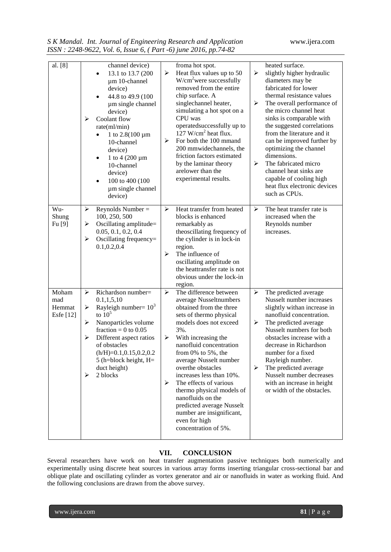|  | S K Mandal. Int. Journal of Engineering Research and Application |  |
|--|------------------------------------------------------------------|--|
|  | ISSN: 2248-9622, Vol. 6, Issue 6, (Part -6) june 2016, pp.74-82  |  |

| al. [8]                             | channel device)<br>13.1 to 13.7 (200<br>$\bullet$<br>$\mu$ m 10-channel<br>device)<br>44.8 to 49.9 (100)<br>$\bullet$<br>um single channel<br>device)<br>Coolant flow<br>⋗<br>rate(ml/min)<br>1 to $2.8(100 \mu m)$<br>10-channel<br>device)<br>1 to 4 $(200 \mu m)$<br>$\bullet$<br>10-channel<br>device)<br>100 to 400 (100)<br>$\bullet$<br>um single channel<br>device) | froma hot spot.<br>Heat flux values up to 50<br>➤<br>➤<br>$W/cm2$ were successfully<br>removed from the entire<br>chip surface. A<br>singlechannel heater,<br>➤<br>simulating a hot spot on a<br>CPU was<br>operated successfully up to<br>$127$ W/cm <sup>2</sup> heat flux.<br>For both the 100 mmand<br>➤<br>200 mmwidechannels, the<br>friction factors estimated<br>by the laminar theory<br>≻<br>arelower than the<br>experimental results.                                                              | heated surface.<br>slightly higher hydraulic<br>diameters may be<br>fabricated for lower<br>thermal resistance values<br>The overall performance of<br>the micro channel heat<br>sinks is comparable with<br>the suggested correlations<br>from the literature and it<br>can be improved further by<br>optimizing the channel<br>dimensions.<br>The fabricated micro<br>channel heat sinks are<br>capable of cooling high<br>heat flux electronic devices<br>such as CPUs. |
|-------------------------------------|-----------------------------------------------------------------------------------------------------------------------------------------------------------------------------------------------------------------------------------------------------------------------------------------------------------------------------------------------------------------------------|----------------------------------------------------------------------------------------------------------------------------------------------------------------------------------------------------------------------------------------------------------------------------------------------------------------------------------------------------------------------------------------------------------------------------------------------------------------------------------------------------------------|----------------------------------------------------------------------------------------------------------------------------------------------------------------------------------------------------------------------------------------------------------------------------------------------------------------------------------------------------------------------------------------------------------------------------------------------------------------------------|
| Wu-<br>Shung<br>Fu[9]               | Reynolds Number $=$<br>➤<br>100, 250, 500<br>Oscillating amplitude=<br>➤<br>0.05, 0.1, 0.2, 0.4<br>➤<br>Oscillating frequency=<br>0.1, 0.2, 0.4                                                                                                                                                                                                                             | Heat transfer from heated<br>⋗<br>≻<br>blocks is enhanced<br>remarkably as<br>theoscillating frequency of<br>the cylinder is in lock-in<br>region.<br>The influence of<br>➤<br>oscillating amplitude on<br>the heattransfer rate is not<br>obvious under the lock-in<br>region.                                                                                                                                                                                                                                | The heat transfer rate is<br>increased when the<br>Reynolds number<br>increases.                                                                                                                                                                                                                                                                                                                                                                                           |
| Moham<br>mad<br>Hemmat<br>Esfe [12] | Richardson number=<br>➤<br>0.1, 1, 5, 10<br>Rayleigh number= $10^3$<br>≻<br>to $105$<br>Nanoparticles volume<br>≻<br>fraction = 0 to $0.05$<br>Different aspect ratios<br>⋗<br>of obstacles<br>$(h/H)=0.1, 0.15, 0.2, 0.2$<br>$5$ (h=block height, H=<br>duct height)<br>2 blocks<br>⋗                                                                                      | The difference between<br>⋗<br>➤<br>average Nusseltnumbers<br>obtained from the three<br>sets of thermo physical<br>models does not exceed<br>➤<br>3%.<br>With increasing the<br>➤<br>nanofluid concentration<br>from $0\%$ to $5\%$ , the<br>average Nusselt number<br>overthe obstacles<br>➤<br>increases less than 10%.<br>The effects of various<br>➤<br>thermo physical models of<br>nanofluids on the<br>predicted average Nusselt<br>number are insignificant,<br>even for high<br>concentration of 5%. | The predicted average<br>Nusselt number increases<br>slightly withan increase in<br>nanofluid concentration.<br>The predicted average<br>Nusselt numbers for both<br>obstacles increase with a<br>decrease in Richardson<br>number for a fixed<br>Rayleigh number.<br>The predicted average<br>Nusselt number decreases<br>with an increase in height<br>or width of the obstacles.                                                                                        |

## **VII. CONCLUSION**

Several researchers have work on heat transfer augmentation passive techniques both numerically and experimentally using discrete heat sources in various array forms inserting triangular cross-sectional bar and oblique plate and oscillating cylinder as vortex generator and air or nanofluids in water as working fluid. And the following conclusions are drawn from the above survey.